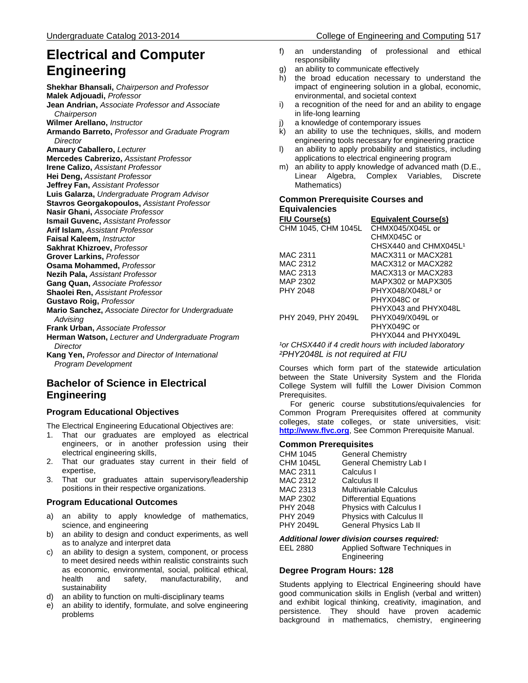## Undergraduate Catalog 2013-2014 College of Engineering and Computing 517

# **Electrical and Computer Engineering**

**Shekhar Bhansali,** *Chairperson and Professor* **Malek Adjouadi,** *Professor*  **Jean Andrian,** *Associate Professor and Associate Chairperson* **Wilmer Arellano,** *Instructor* **Armando Barreto,** *Professor and Graduate Program Director* **Amaury Caballero,** *Lecturer*  **Mercedes Cabrerizo,** *Assistant Professor* **Irene Calizo,** *Assistant Professor* **Hei Deng,** *Assistant Professor* **Jeffrey Fan,** *Assistant Professor* **Luis Galarza,** *Undergraduate Program Advisor* **Stavros Georgakopoulos,** *Assistant Professor* **Nasir Ghani,** *Associate Professor* **Ismail Guvenc,** *Assistant Professor* **Arif Islam,** *Assistant Professor* **Faisal Kaleem,** *Instructor* **Sakhrat Khizroev,** *Professor* **Grover Larkins,** *Professor* **Osama Mohammed,** *Professor* **Nezih Pala,** *Assistant Professor* **Gang Quan,** *Associate Professor* **Shaolei Ren,** *Assistant Professor* **Gustavo Roig,** *Professor*  **Mario Sanchez,** *Associate Director for Undergraduate Advising* **Frank Urban,** *Associate Professor* **Herman Watson,** *Lecturer and Undergraduate Program Director* **Kang Yen,** *Professor and Director of International Program Development*

## **Bachelor of Science in Electrical Engineering**

### **Program Educational Objectives**

The Electrical Engineering Educational Objectives are:

- 1. That our graduates are employed as electrical engineers, or in another profession using their electrical engineering skills,
- 2. That our graduates stay current in their field of expertise,
- 3. That our graduates attain supervisory/leadership positions in their respective organizations.

#### **Program Educational Outcomes**

- a) an ability to apply knowledge of mathematics, science, and engineering
- b) an ability to design and conduct experiments, as well as to analyze and interpret data
- c) an ability to design a system, component, or process to meet desired needs within realistic constraints such as economic, environmental, social, political ethical, health and safety, manufacturability, and sustainability
- d) an ability to function on multi-disciplinary teams
- e) an ability to identify, formulate, and solve engineering problems
- f) an understanding of professional and ethical responsibility
- g) an ability to communicate effectively
- h) the broad education necessary to understand the impact of engineering solution in a global, economic, environmental, and societal context
- i) a recognition of the need for and an ability to engage in life-long learning
- a knowledge of contemporary issues
- k) an ability to use the techniques, skills, and modern engineering tools necessary for engineering practice
- l) an ability to apply probability and statistics, including applications to electrical engineering program
- m) an ability to apply knowledge of advanced math (D.E., Linear Algebra, Complex Variables, Discrete Mathematics)

#### **Common Prerequisite Courses and Equivalencies**

| <b>FIU Course(s)</b> | <b>Equivalent Course(s)</b>                                        |
|----------------------|--------------------------------------------------------------------|
| CHM 1045, CHM 1045L  | CHMX045/X045L or                                                   |
|                      | CHMX045C or                                                        |
|                      | CHSX440 and CHMX045L1                                              |
| MAC 2311             | MACX311 or MACX281                                                 |
| MAC 2312             | MACX312 or MACX282                                                 |
| MAC 2313             | MACX313 or MACX283                                                 |
| MAP 2302             | MAPX302 or MAPX305                                                 |
| PHY 2048             | PHYX048/X048L <sup>2</sup> or                                      |
|                      | PHYX048C or                                                        |
|                      | PHYX043 and PHYX048L                                               |
| PHY 2049. PHY 2049L  | PHYX049/X049L or                                                   |
|                      | PHYX049C or                                                        |
|                      | PHYX044 and PHYX049L                                               |
|                      | <sup>1</sup> or CHSX440 if 4 credit hours with included laboratory |

<sup>1</sup>or CHSX440 if 4 credit hours with included laboratory *²PHY2048L is not required at FIU*

Courses which form part of the statewide articulation between the State University System and the Florida College System will fulfill the Lower Division Common Prerequisites.

 For generic course substitutions/equivalencies for Common Program Prerequisites offered at community colleges, state colleges, or state universities, visit: **[http://www.flvc.org](http://www.flvc.org/)**, See Common Prerequisite Manual.

#### **Common Prerequisites**

| CHM 1045         | <b>General Chemistry</b>      |
|------------------|-------------------------------|
| <b>CHM 1045L</b> | General Chemistry Lab I       |
| MAC 2311         | Calculus I                    |
| MAC 2312         | Calculus II                   |
| MAC 2313         | <b>Multivariable Calculus</b> |
| MAP 2302         | <b>Differential Equations</b> |
| PHY 2048         | Physics with Calculus I       |
| PHY 2049         | Physics with Calculus II      |
| <b>PHY 2049L</b> | General Physics Lab II        |

*Additional lower division courses required:* Applied Software Techniques in Engineering

#### **Degree Program Hours: 128**

Students applying to Electrical Engineering should have good communication skills in English (verbal and written) and exhibit logical thinking, creativity, imagination, and persistence. They should have proven academic background in mathematics, chemistry, engineering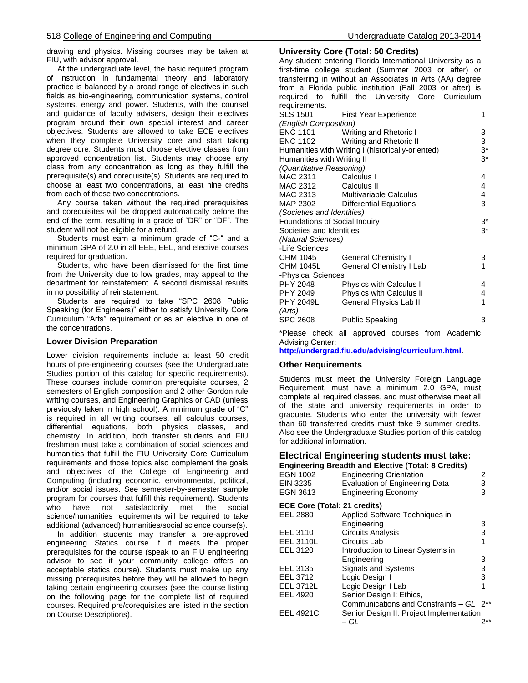drawing and physics. Missing courses may be taken at FIU, with advisor approval.

 At the undergraduate level, the basic required program of instruction in fundamental theory and laboratory practice is balanced by a broad range of electives in such fields as bio-engineering, communication systems, control systems, energy and power. Students, with the counsel and guidance of faculty advisers, design their electives program around their own special interest and career objectives. Students are allowed to take ECE electives when they complete University core and start taking degree core. Students must choose elective classes from approved concentration list. Students may choose any class from any concentration as long as they fulfill the prerequisite(s) and corequisite(s). Students are required to choose at least two concentrations, at least nine credits from each of these two concentrations.

 Any course taken without the required prerequisites and corequisites will be dropped automatically before the end of the term, resulting in a grade of "DR" or "DF". The student will not be eligible for a refund.

 Students must earn a minimum grade of "C-" and a minimum GPA of 2.0 in all EEE, EEL, and elective courses required for graduation.

 Students, who have been dismissed for the first time from the University due to low grades, may appeal to the department for reinstatement. A second dismissal results in no possibility of reinstatement.

 Students are required to take "SPC 2608 Public Speaking (for Engineers)" either to satisfy University Core Curriculum "Arts" requirement or as an elective in one of the concentrations.

#### **Lower Division Preparation**

Lower division requirements include at least 50 credit hours of pre-engineering courses (see the Undergraduate Studies portion of this catalog for specific requirements). These courses include common prerequisite courses, 2 semesters of English composition and 2 other Gordon rule writing courses, and Engineering Graphics or CAD (unless previously taken in high school). A minimum grade of "C" is required in all writing courses, all calculus courses, differential equations, both physics classes, and chemistry. In addition, both transfer students and FIU freshman must take a combination of social sciences and humanities that fulfill the FIU University Core Curriculum requirements and those topics also complement the goals and objectives of the College of Engineering and Computing (including economic, environmental, political, and/or social issues. See semester-by-semester sample program for courses that fulfill this requirement). Students who have not satisfactorily met the social science/humanities requirements will be required to take additional (advanced) humanities/social science course(s).

 In addition students may transfer a pre-approved engineering Statics course if it meets the proper prerequisites for the course (speak to an FIU engineering advisor to see if your community college offers an acceptable statics course). Students must make up any missing prerequisites before they will be allowed to begin taking certain engineering courses (see the course listing on the following page for the complete list of required courses. Required pre/corequisites are listed in the section on Course Descriptions).

#### **University Core (Total: 50 Credits)**

Any student entering Florida International University as a first-time college student (Summer 2003 or after) or transferring in without an Associates in Arts (AA) degree from a Florida public institution (Fall 2003 or after) is required to fulfill the University Core Curriculum requirements.

| 109911011101110.              |                                                   |       |  |
|-------------------------------|---------------------------------------------------|-------|--|
| SLS 1501                      | <b>First Year Experience</b>                      | 1     |  |
| (English Composition)         |                                                   |       |  |
|                               | ENC 1101 Writing and Rhetoric I                   | 3     |  |
| ENC 1102                      | Writing and Rhetoric II                           | 3     |  |
|                               | Humanities with Writing I (historically-oriented) | $3^*$ |  |
| Humanities with Writing II    |                                                   | $3^*$ |  |
| (Quantitative Reasoning)      |                                                   |       |  |
| MAC 2311                      | Calculus I                                        | 4     |  |
| MAC 2312                      | Calculus II                                       | 4     |  |
| MAC 2313                      | Multivariable Calculus                            | 4     |  |
|                               | MAP 2302 Differential Equations                   | 3     |  |
| (Societies and Identities)    |                                                   |       |  |
| Foundations of Social Inquiry |                                                   | $3^*$ |  |
| Societies and Identities      |                                                   | $3*$  |  |
| (Natural Sciences)            |                                                   |       |  |
| -Life Sciences                |                                                   |       |  |
| CHM 1045                      | <b>General Chemistry I</b>                        | 3     |  |
| CHM 1045L                     | General Chemistry I Lab                           | 1     |  |
| -Physical Sciences            |                                                   |       |  |
| <b>PHY 2048</b>               | <b>Physics with Calculus I</b>                    | 4     |  |
| PHY 2049                      | <b>Physics with Calculus II</b>                   | 4     |  |
| <b>PHY 2049L</b>              | General Physics Lab II                            | 1     |  |
| (Arts)                        |                                                   |       |  |
| <b>SPC 2608</b>               | <b>Public Speaking</b>                            | 3     |  |
|                               |                                                   |       |  |

\*Please check all approved courses from Academic Advising Center:

**<http://undergrad.fiu.edu/advising/curriculum.html>**.

#### **Other Requirements**

Students must meet the University Foreign Language Requirement, must have a minimum 2.0 GPA, must complete all required classes, and must otherwise meet all of the state and university requirements in order to graduate. Students who enter the university with fewer than 60 transferred credits must take 9 summer credits. Also see the Undergraduate Studies portion of this catalog for additional information.

#### **Electrical Engineering students must take: Engineering Breadth and Elective (Total: 8 Credits)**

| EGN 1002<br>EIN 3235<br>EGN 3613 | <b>Engineering Orientation</b><br>Evaluation of Engineering Data I<br><b>Engineering Economy</b> | 2<br>3<br>3 |
|----------------------------------|--------------------------------------------------------------------------------------------------|-------------|
| ECE Core (Total: 21 credits)     |                                                                                                  |             |
| EEL 2880                         | Applied Software Techniques in                                                                   |             |
|                                  | Engineering                                                                                      | 3           |
| EEL 3110                         | <b>Circuits Analysis</b>                                                                         | 3           |
| <b>EEL 3110L</b>                 | Circuits Lab                                                                                     | 1           |
| EEL 3120                         | Introduction to Linear Systems in                                                                |             |
|                                  | Engineering                                                                                      | 3           |
| EEL 3135                         | <b>Signals and Systems</b>                                                                       | 3           |
| EEL 3712                         | Logic Design I                                                                                   | 3           |
| <b>EEL 3712L</b>                 | Logic Design I Lab                                                                               |             |
| EEL 4920                         | Senior Design I: Ethics,                                                                         |             |
|                                  | Communications and Constraints - GL 2 <sup>**</sup>                                              |             |
| <b>EEL 4921C</b>                 | Senior Design II: Project Implementation                                                         |             |
|                                  | – GL                                                                                             | $2**$       |
|                                  |                                                                                                  |             |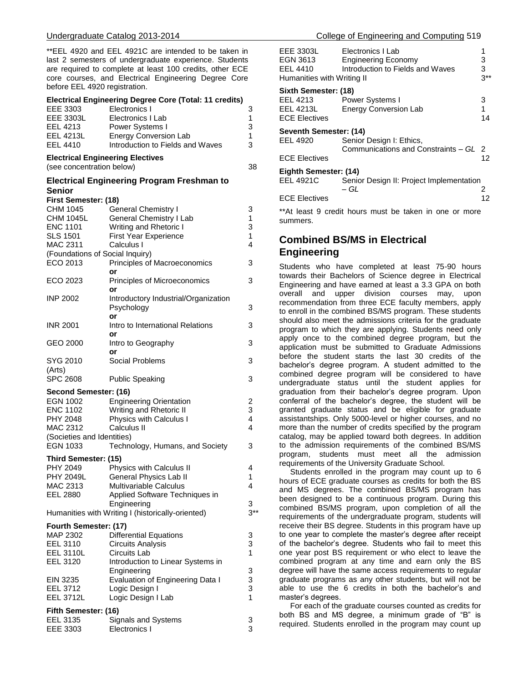\*\*EEL 4920 and EEL 4921C are intended to be taken in last 2 semesters of undergraduate experience. Students are required to complete at least 100 credits, other ECE core courses, and Electrical Engineering Degree Core before EEL 4920 registration.

#### **Electrical Engineering Degree Core (Total: 11 credits)**

| EEE 3303         | Electronics I                    | 3 |
|------------------|----------------------------------|---|
| <b>EEE 3303L</b> | Electronics I Lab                | 1 |
| EEL 4213         | Power Systems I                  | 3 |
| <b>EEL 4213L</b> | <b>Energy Conversion Lab</b>     | 1 |
| EEL 4410         | Introduction to Fields and Waves | 3 |
|                  |                                  |   |

#### **Electrical Engineering Electives**

(see concentration below) 38

#### **Electrical Engineering Program Freshman to Senior**

| First Semester: (18)            |                                                   |        |
|---------------------------------|---------------------------------------------------|--------|
| CHM 1045                        | <b>General Chemistry I</b>                        | 3      |
| <b>CHM 1045L</b>                | <b>General Chemistry I Lab</b>                    | 1      |
| <b>ENC 1101</b>                 | Writing and Rhetoric I                            | 3      |
| <b>SLS 1501</b>                 | <b>First Year Experience</b>                      | 1      |
| <b>MAC 2311</b>                 | Calculus I                                        | 4      |
| (Foundations of Social Inquiry) |                                                   |        |
| ECO 2013                        | Principles of Macroeconomics                      | 3      |
|                                 | or                                                |        |
| ECO 2023                        | Principles of Microeconomics                      | 3      |
|                                 | or                                                |        |
| <b>INP 2002</b>                 | Introductory Industrial/Organization              |        |
|                                 | Psychology                                        | 3      |
|                                 | or                                                |        |
| <b>INR 2001</b>                 | Intro to International Relations<br>or            | 3      |
| GEO 2000                        | Intro to Geography                                | 3      |
|                                 | or                                                |        |
| SYG 2010                        | Social Problems                                   | 3      |
| (Arts)                          |                                                   |        |
| <b>SPC 2608</b>                 | <b>Public Speaking</b>                            | 3      |
|                                 |                                                   |        |
| Second Semester: (16)           |                                                   |        |
| EGN 1002                        | <b>Engineering Orientation</b>                    | 2      |
| <b>ENC 1102</b>                 | Writing and Rhetoric II                           | 3      |
| PHY 2048                        | Physics with Calculus I                           | 4      |
| MAC 2312                        | Calculus II                                       | 4      |
| (Societies and Identities)      |                                                   |        |
| <b>EGN 1033</b>                 | Technology, Humans, and Society                   | 3      |
| Third Semester: (15)            |                                                   |        |
| PHY 2049                        | Physics with Calculus II                          | 4      |
| <b>PHY 2049L</b>                | General Physics Lab II                            | 1      |
| MAC 2313                        | <b>Multivariable Calculus</b>                     | 4      |
| EEL 2880                        | Applied Software Techniques in                    |        |
|                                 | Engineering                                       | 3      |
|                                 | Humanities with Writing I (historically-oriented) | $3**$  |
| Fourth Semester: (17)           |                                                   |        |
| MAP 2302                        | <b>Differential Equations</b>                     | 3      |
| EEL 3110                        | Circuits Analysis                                 | 3      |
| <b>EEL 3110L</b>                | Circuits Lab                                      | 1      |
| EEL 3120                        |                                                   |        |
|                                 | Introduction to Linear Systems in                 | 3      |
|                                 | Engineering                                       |        |
| EIN 3235                        | Evaluation of Engineering Data I                  | 3<br>3 |
| EEL 3712                        | Logic Design I                                    | 1      |
| <b>EEL 3712L</b>                | Logic Design I Lab                                |        |
| Fifth Semester: (16)            |                                                   |        |
| EEL 3135                        | Signals and Systems                               | 3      |
| FFF 3303                        | Electronics L                                     | 3      |

| EEE 3303L<br>EGN 3613<br>EEL 4410<br>Humanities with Writing II | Electronics I Lab<br><b>Engineering Economy</b><br>Introduction to Fields and Waves | 1<br>3<br>3<br>$3**$ |  |
|-----------------------------------------------------------------|-------------------------------------------------------------------------------------|----------------------|--|
| Sixth Semester: (18)                                            |                                                                                     |                      |  |
| EEL 4213                                                        | Power Systems I                                                                     | 3                    |  |
| EEL 4213L                                                       | <b>Energy Conversion Lab</b>                                                        | 1                    |  |
| <b>ECE Electives</b>                                            |                                                                                     | 14                   |  |
| Seventh Semester: (14)<br>EEL 4920<br><b>ECE Electives</b>      | Senior Design I: Ethics,<br>Communications and Constraints - GL 2                   | 12                   |  |
| Eighth Semester: (14)                                           |                                                                                     |                      |  |
| <b>EEL 4921C</b>                                                | Senior Design II: Project Implementation<br>– GL                                    | 2                    |  |
| <b>ECE Electives</b>                                            |                                                                                     | 12                   |  |
|                                                                 | **At least 9 credit hours must be taken in one or more                              |                      |  |

## **Combined BS/MS in Electrical Engineering**

summers.

Students who have completed at least 75-90 hours towards their Bachelors of Science degree in Electrical Engineering and have earned at least a 3.3 GPA on both overall and upper division courses may, upon recommendation from three ECE faculty members, apply to enroll in the combined BS/MS program. These students should also meet the admissions criteria for the graduate program to which they are applying. Students need only apply once to the combined degree program, but the application must be submitted to Graduate Admissions before the student starts the last 30 credits of the bachelor's degree program. A student admitted to the combined degree program will be considered to have undergraduate status until the student applies for graduation from their bachelor's degree program. Upon conferral of the bachelor's degree, the student will be granted graduate status and be eligible for graduate assistantships. Only 5000-level or higher courses, and no more than the number of credits specified by the program catalog, may be applied toward both degrees. In addition to the admission requirements of the combined BS/MS program, students must meet all the admission requirements of the University Graduate School.

 Students enrolled in the program may count up to 6 hours of ECE graduate courses as credits for both the BS and MS degrees. The combined BS/MS program has been designed to be a continuous program. During this combined BS/MS program, upon completion of all the requirements of the undergraduate program, students will receive their BS degree. Students in this program have up to one year to complete the master's degree after receipt of the bachelor's degree. Students who fail to meet this one year post BS requirement or who elect to leave the combined program at any time and earn only the BS degree will have the same access requirements to regular graduate programs as any other students, but will not be able to use the 6 credits in both the bachelor's and master's degrees.

 For each of the graduate courses counted as credits for both BS and MS degree, a minimum grade of "B" is required. Students enrolled in the program may count up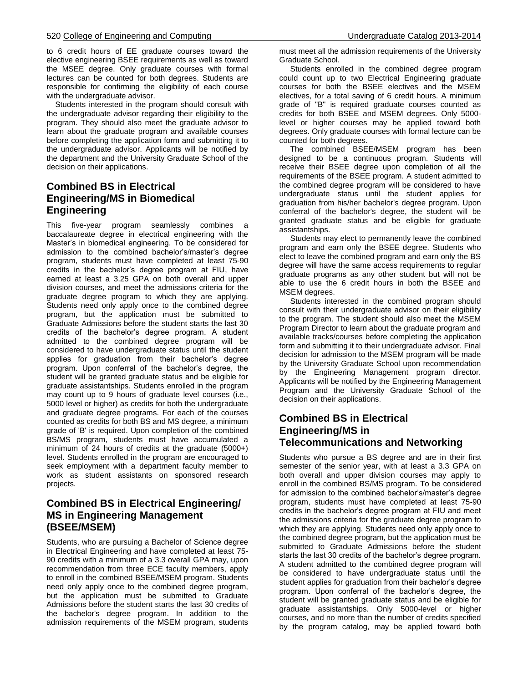to 6 credit hours of EE graduate courses toward the elective engineering BSEE requirements as well as toward the MSEE degree. Only graduate courses with formal lectures can be counted for both degrees. Students are responsible for confirming the eligibility of each course with the undergraduate advisor.

 Students interested in the program should consult with the undergraduate advisor regarding their eligibility to the program. They should also meet the graduate advisor to learn about the graduate program and available courses before completing the application form and submitting it to the undergraduate advisor. Applicants will be notified by the department and the University Graduate School of the decision on their applications.

## **Combined BS in Electrical Engineering/MS in Biomedical Engineering**

This five-year program seamlessly combines a baccalaureate degree in electrical engineering with the Master's in biomedical engineering. To be considered for admission to the combined bachelor's/master's degree program, students must have completed at least 75-90 credits in the bachelor's degree program at FIU, have earned at least a 3.25 GPA on both overall and upper division courses, and meet the admissions criteria for the graduate degree program to which they are applying. Students need only apply once to the combined degree program, but the application must be submitted to Graduate Admissions before the student starts the last 30 credits of the bachelor's degree program. A student admitted to the combined degree program will be considered to have undergraduate status until the student applies for graduation from their bachelor's degree program. Upon conferral of the bachelor's degree, the student will be granted graduate status and be eligible for graduate assistantships. Students enrolled in the program may count up to 9 hours of graduate level courses (i.e., 5000 level or higher) as credits for both the undergraduate and graduate degree programs. For each of the courses counted as credits for both BS and MS degree, a minimum grade of 'B' is required. Upon completion of the combined BS/MS program, students must have accumulated a minimum of 24 hours of credits at the graduate (5000+) level. Students enrolled in the program are encouraged to seek employment with a department faculty member to work as student assistants on sponsored research projects.

## **Combined BS in Electrical Engineering/ MS in Engineering Management (BSEE/MSEM)**

Students, who are pursuing a Bachelor of Science degree in Electrical Engineering and have completed at least 75- 90 credits with a minimum of a 3.3 overall GPA may, upon recommendation from three ECE faculty members, apply to enroll in the combined BSEE/MSEM program. Students need only apply once to the combined degree program, but the application must be submitted to Graduate Admissions before the student starts the last 30 credits of the bachelor's degree program. In addition to the admission requirements of the MSEM program, students must meet all the admission requirements of the University Graduate School.

 Students enrolled in the combined degree program could count up to two Electrical Engineering graduate courses for both the BSEE electives and the MSEM electives, for a total saving of 6 credit hours. A minimum grade of "B" is required graduate courses counted as credits for both BSEE and MSEM degrees. Only 5000 level or higher courses may be applied toward both degrees. Only graduate courses with formal lecture can be counted for both degrees.

 The combined BSEE/MSEM program has been designed to be a continuous program. Students will receive their BSEE degree upon completion of all the requirements of the BSEE program. A student admitted to the combined degree program will be considered to have undergraduate status until the student applies for graduation from his/her bachelor's degree program. Upon conferral of the bachelor's degree, the student will be granted graduate status and be eligible for graduate assistantships.

 Students may elect to permanently leave the combined program and earn only the BSEE degree. Students who elect to leave the combined program and earn only the BS degree will have the same access requirements to regular graduate programs as any other student but will not be able to use the 6 credit hours in both the BSEE and MSEM degrees.

 Students interested in the combined program should consult with their undergraduate advisor on their eligibility to the program. The student should also meet the MSEM Program Director to learn about the graduate program and available tracks/courses before completing the application form and submitting it to their undergraduate advisor. Final decision for admission to the MSEM program will be made by the University Graduate School upon recommendation by the Engineering Management program director. Applicants will be notified by the Engineering Management Program and the University Graduate School of the decision on their applications.

## **Combined BS in Electrical Engineering/MS in Telecommunications and Networking**

Students who pursue a BS degree and are in their first semester of the senior year, with at least a 3.3 GPA on both overall and upper division courses may apply to enroll in the combined BS/MS program. To be considered for admission to the combined bachelor's/master's degree program, students must have completed at least 75-90 credits in the bachelor's degree program at FIU and meet the admissions criteria for the graduate degree program to which they are applying. Students need only apply once to the combined degree program, but the application must be submitted to Graduate Admissions before the student starts the last 30 credits of the bachelor's degree program. A student admitted to the combined degree program will be considered to have undergraduate status until the student applies for graduation from their bachelor's degree program. Upon conferral of the bachelor's degree, the student will be granted graduate status and be eligible for graduate assistantships. Only 5000-level or higher courses, and no more than the number of credits specified by the program catalog, may be applied toward both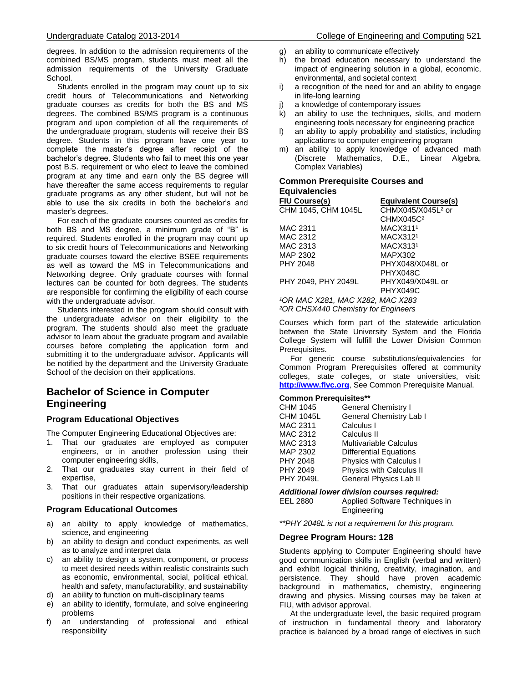degrees. In addition to the admission requirements of the combined BS/MS program, students must meet all the admission requirements of the University Graduate School.

 Students enrolled in the program may count up to six credit hours of Telecommunications and Networking graduate courses as credits for both the BS and MS degrees. The combined BS/MS program is a continuous program and upon completion of all the requirements of the undergraduate program, students will receive their BS degree. Students in this program have one year to complete the master's degree after receipt of the bachelor's degree. Students who fail to meet this one year post B.S. requirement or who elect to leave the combined program at any time and earn only the BS degree will have thereafter the same access requirements to regular graduate programs as any other student, but will not be able to use the six credits in both the bachelor's and master's degrees.

 For each of the graduate courses counted as credits for both BS and MS degree, a minimum grade of "B" is required. Students enrolled in the program may count up to six credit hours of Telecommunications and Networking graduate courses toward the elective BSEE requirements as well as toward the MS in Telecommunications and Networking degree. Only graduate courses with formal lectures can be counted for both degrees. The students are responsible for confirming the eligibility of each course with the undergraduate advisor.

 Students interested in the program should consult with the undergraduate advisor on their eligibility to the program. The students should also meet the graduate advisor to learn about the graduate program and available courses before completing the application form and submitting it to the undergraduate advisor. Applicants will be notified by the department and the University Graduate School of the decision on their applications.

## **Bachelor of Science in Computer Engineering**

#### **Program Educational Objectives**

The Computer Engineering Educational Objectives are:

- 1. That our graduates are employed as computer engineers, or in another profession using their computer engineering skills,
- 2. That our graduates stay current in their field of expertise,
- 3. That our graduates attain supervisory/leadership positions in their respective organizations.

#### **Program Educational Outcomes**

- a) an ability to apply knowledge of mathematics, science, and engineering
- b) an ability to design and conduct experiments, as well as to analyze and interpret data
- c) an ability to design a system, component, or process to meet desired needs within realistic constraints such as economic, environmental, social, political ethical, health and safety, manufacturability, and sustainability
- d) an ability to function on multi-disciplinary teams
- e) an ability to identify, formulate, and solve engineering problems
- f) an understanding of professional and ethical responsibility
- g) an ability to communicate effectively
- h) the broad education necessary to understand the impact of engineering solution in a global, economic, environmental, and societal context
- i) a recognition of the need for and an ability to engage in life-long learning
- j) a knowledge of contemporary issues
- k) an ability to use the techniques, skills, and modern engineering tools necessary for engineering practice
- l) an ability to apply probability and statistics, including applications to computer engineering program
- m) an ability to apply knowledge of advanced math (Discrete Mathematics, D.E., Linear Algebra, Complex Variables)

#### **Common Prerequisite Courses and Equivalencies**

| <b>Equivalent Course(s)</b>      |
|----------------------------------|
| CHMX045/X045L <sup>2</sup> or    |
| CHMX045C <sup>2</sup>            |
| MACX311 <sup>1</sup>             |
| MACX312 <sup>1</sup>             |
| MACX313 <sup>1</sup>             |
| MAPX302                          |
| PHYX048/X048L or                 |
| PHYX048C                         |
| PHYX049/X049L or                 |
| PHYX049C                         |
| 10R MAC X281, MAC X282, MAC X283 |
|                                  |

*²OR CHSX440 Chemistry for Engineers*

Courses which form part of the statewide articulation between the State University System and the Florida College System will fulfill the Lower Division Common Prerequisites.

 For generic course substitutions/equivalencies for Common Program Prerequisites offered at community colleges, state colleges, or state universities, visit: **[http://www.flvc.org](http://www.flvc.org/)**, See Common Prerequisite Manual.

#### **Common Prerequisites\*\***

| CHM 1045         | <b>General Chemistry I</b>      |
|------------------|---------------------------------|
| <b>CHM 1045L</b> | General Chemistry Lab I         |
| MAC 2311         | Calculus I                      |
| MAC 2312         | Calculus II                     |
| MAC 2313         | <b>Multivariable Calculus</b>   |
| MAP 2302         | <b>Differential Equations</b>   |
| <b>PHY 2048</b>  | Physics with Calculus I         |
| PHY 2049         | <b>Physics with Calculus II</b> |
| <b>PHY 2049L</b> | General Physics Lab II          |

#### *Additional lower division courses required:*

| EEL 2880 | Applied Software Techniques in |
|----------|--------------------------------|
|          | Engineering                    |

*\*\*PHY 2048L is not a requirement for this program.*

#### **Degree Program Hours: 128**

Students applying to Computer Engineering should have good communication skills in English (verbal and written) and exhibit logical thinking, creativity, imagination, and persistence. They should have proven academic background in mathematics, chemistry, engineering drawing and physics. Missing courses may be taken at FIU, with advisor approval.

 At the undergraduate level, the basic required program of instruction in fundamental theory and laboratory practice is balanced by a broad range of electives in such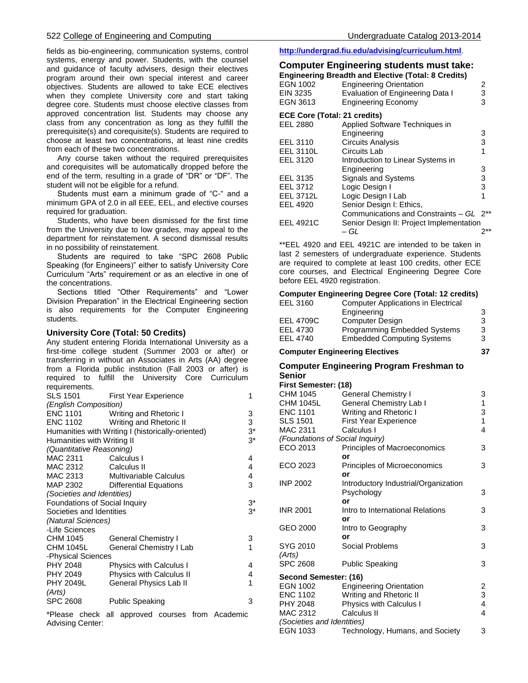fields as bio-engineering, communication systems, control systems, energy and power. Students, with the counsel and guidance of faculty advisers, design their electives program around their own special interest and career objectives. Students are allowed to take ECE electives when they complete University core and start taking degree core. Students must choose elective classes from approved concentration list. Students may choose any class from any concentration as long as they fulfill the prerequisite(s) and corequisite(s). Students are required to choose at least two concentrations, at least nine credits from each of these two concentrations.

 Any course taken without the required prerequisites and corequisites will be automatically dropped before the end of the term, resulting in a grade of "DR" or "DF". The student will not be eligible for a refund.

 Students must earn a minimum grade of "C-" and a minimum GPA of 2.0 in all EEE, EEL, and elective courses required for graduation.

 Students, who have been dismissed for the first time from the University due to low grades, may appeal to the department for reinstatement. A second dismissal results in no possibility of reinstatement.

 Students are required to take "SPC 2608 Public Speaking (for Engineers)" either to satisfy University Core Curriculum "Arts" requirement or as an elective in one of the concentrations.

 Sections titled "Other Requirements" and "Lower Division Preparation" in the Electrical Engineering section is also requirements for the Computer Engineering students.

#### **University Core (Total: 50 Credits)**

Any student entering Florida International University as a first-time college student (Summer 2003 or after) or transferring in without an Associates in Arts (AA) degree from a Florida public institution (Fall 2003 or after) is required to fulfill the University Core Curriculum requirements.

| <b>SLS 1501</b>               | <b>First Year Experience</b>                      | 1     |  |
|-------------------------------|---------------------------------------------------|-------|--|
| (English Composition)         |                                                   |       |  |
|                               | ENC 1101 Writing and Rhetoric I                   | 3     |  |
|                               | ENC 1102 Writing and Rhetoric II                  | 3     |  |
|                               | Humanities with Writing I (historically-oriented) | 3*    |  |
| Humanities with Writing II    |                                                   | $3^*$ |  |
| (Quantitative Reasoning)      |                                                   |       |  |
| MAC 2311 Calculus I           |                                                   | 4     |  |
| MAC 2312                      | Calculus II                                       | 4     |  |
|                               | MAC 2313 Multivariable Calculus                   | 4     |  |
|                               | MAP 2302 Differential Equations                   | 3     |  |
| (Societies and Identities)    |                                                   |       |  |
| Foundations of Social Inquiry |                                                   | $3^*$ |  |
| Societies and Identities      |                                                   | $3^*$ |  |
| (Natural Sciences)            |                                                   |       |  |
| -Life Sciences                |                                                   |       |  |
| CHM 1045                      | <b>General Chemistry I</b>                        | 3     |  |
| CHM 1045L                     | General Chemistry I Lab                           | 1     |  |
| -Physical Sciences            |                                                   |       |  |
| PHY 2048                      | <b>Physics with Calculus I</b>                    | 4     |  |
| PHY 2049                      | Physics with Calculus II                          | 4     |  |
| PHY 2049L                     | General Physics Lab II                            | 1     |  |
| (Arts)                        |                                                   |       |  |
| <b>SPC 2608</b>               | Public Speaking                                   | 3     |  |
|                               |                                                   |       |  |

\*Please check all approved courses from Academic Advising Center:

#### **<http://undergrad.fiu.edu/advising/curriculum.html>**.

## **Computer Engineering students must take:**

|                                     | <b>Engineering Breadth and Elective (Total: 8 Credits)</b> |   |
|-------------------------------------|------------------------------------------------------------|---|
| <b>EGN 1002</b>                     | <b>Engineering Orientation</b>                             | 2 |
| EIN 3235                            | Evaluation of Engineering Data I                           | 3 |
| EGN 3613                            | <b>Engineering Economy</b>                                 | 3 |
| <b>ECE Core (Total: 21 credits)</b> |                                                            |   |
| EEL 2880                            | Applied Software Techniques in                             |   |
|                                     | Engineering                                                | 3 |
| EEL 3110                            | <b>Circuits Analysis</b>                                   | 3 |
| <b>EEL 3110L</b>                    | Circuits Lab                                               | 1 |
| EEL 3120                            | Introduction to Linear Systems in                          |   |
|                                     | Engineering                                                | 3 |
| EEL 3135                            | Signals and Systems                                        | 3 |
| EEL 3712                            | Logic Design I                                             | 3 |
| <b>EEL 3712L</b>                    | Logic Design I Lab                                         |   |
| EEL 4920                            | Senior Design I: Ethics,                                   |   |
|                                     | Communications and Constraints - GL 2 <sup>**</sup>        |   |
| <b>EEL 4921C</b>                    | Senior Design II: Project Implementation                   |   |
|                                     | – GL                                                       |   |
|                                     |                                                            |   |

\*\*EEL 4920 and EEL 4921C are intended to be taken in last 2 semesters of undergraduate experience. Students are required to complete at least 100 credits, other ECE core courses, and Electrical Engineering Degree Core before EEL 4920 registration.

#### **Computer Engineering Degree Core (Total: 12 credits)** EEL 3160 Computer Applications in Electrical Engineering 3 EEL 4709C Computer Design 3 EEL 4730 Programming Embedded Systems 3 EEL 4740 Embedded Computing Systems 3

#### **Computer Engineering Electives 37**

#### **Computer Engineering Program Freshman to Senior**

#### **First Semester: (18)**

| CHM 1045                        | <b>General Chemistry I</b>           | 3 |  |
|---------------------------------|--------------------------------------|---|--|
| CHM 1045L                       | General Chemistry Lab I              | 1 |  |
| <b>ENC 1101</b>                 | Writing and Rhetoric I               | 3 |  |
| <b>SLS 1501</b>                 | <b>First Year Experience</b>         | 1 |  |
| MAC 2311                        | Calculus I                           | 4 |  |
| (Foundations of Social Inquiry) |                                      |   |  |
| ECO 2013                        | Principles of Macroeconomics         | 3 |  |
|                                 | or                                   |   |  |
| ECO 2023                        | Principles of Microeconomics         | 3 |  |
|                                 | or                                   |   |  |
| <b>INP 2002</b>                 | Introductory Industrial/Organization |   |  |
|                                 | Psychology                           | 3 |  |
|                                 | or                                   |   |  |
| <b>INR 2001</b>                 | Intro to International Relations     | 3 |  |
|                                 | or                                   |   |  |
| GEO 2000                        | Intro to Geography                   | 3 |  |
|                                 | or                                   |   |  |
| SYG 2010                        | Social Problems                      | 3 |  |
| (Arts)                          |                                      |   |  |
| <b>SPC 2608</b>                 | <b>Public Speaking</b>               | 3 |  |
| Second Semester: (16)           |                                      |   |  |
| EGN 1002                        | <b>Engineering Orientation</b>       | 2 |  |
| ENC 1102                        | Writing and Rhetoric II              | 3 |  |
| PHY 2048                        | Physics with Calculus I              | 4 |  |
| MAC 2312                        | Calculus II                          | 4 |  |
| (Societies and Identities)      |                                      |   |  |
| EGN 1033                        | Technology, Humans, and Society      | 3 |  |
|                                 |                                      |   |  |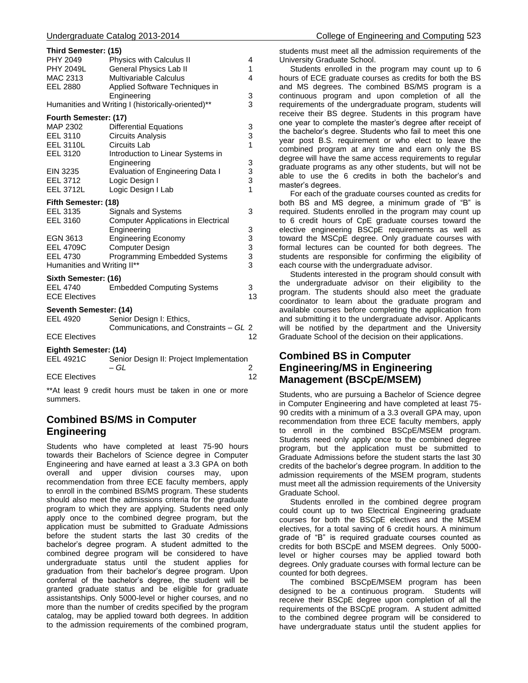|                             | <b>Uuuru</b>                                       |    |  |  |
|-----------------------------|----------------------------------------------------|----|--|--|
| Third Semester: (15)        |                                                    |    |  |  |
| PHY 2049                    | Physics with Calculus II                           | 4  |  |  |
| <b>PHY 2049L</b>            | General Physics Lab II                             | 1  |  |  |
| MAC 2313                    | <b>Multivariable Calculus</b>                      | 4  |  |  |
| EEL 2880                    | Applied Software Techniques in                     |    |  |  |
|                             | Engineering                                        | 3  |  |  |
|                             | Humanities and Writing I (historically-oriented)** | 3  |  |  |
|                             | Fourth Semester: (17)                              |    |  |  |
| MAP 2302                    | <b>Differential Equations</b>                      | 3  |  |  |
| EEL 3110                    | <b>Circuits Analysis</b>                           | 3  |  |  |
| <b>EEL 3110L</b>            | Circuits Lab                                       | 1  |  |  |
| <b>EEL 3120</b>             | Introduction to Linear Systems in                  |    |  |  |
|                             | Engineering                                        | 3  |  |  |
| EIN 3235                    | Evaluation of Engineering Data I                   | 3  |  |  |
| EEL 3712                    | Logic Design I                                     | 3  |  |  |
| <b>EEL 3712L</b>            | Logic Design I Lab                                 | 1  |  |  |
| Fifth Semester: (18)        |                                                    |    |  |  |
| EEL 3135                    | <b>Signals and Systems</b>                         | 3  |  |  |
| EEL 3160                    | <b>Computer Applications in Electrical</b>         |    |  |  |
|                             | Engineering                                        | 3  |  |  |
| EGN 3613                    | <b>Engineering Economy</b>                         | 3  |  |  |
| <b>EEL 4709C</b>            | <b>Computer Design</b>                             | 3  |  |  |
| <b>EEL 4730</b>             | Programming Embedded Systems                       | 3  |  |  |
| Humanities and Writing II** |                                                    | 3  |  |  |
| Sixth Semester: (16)        |                                                    |    |  |  |
| EEL 4740                    | <b>Embedded Computing Systems</b>                  | 3  |  |  |
| <b>ECE Electives</b>        |                                                    | 13 |  |  |
| Seventh Semester: (14)      |                                                    |    |  |  |
| <b>EEL 4920</b>             | Senior Design I: Ethics,                           |    |  |  |
|                             | Communications, and Constraints - GL 2             |    |  |  |
| <b>ECE Electives</b>        |                                                    | 12 |  |  |
|                             | Eighth Semester: (14)                              |    |  |  |
| <b>EEL 4921C</b>            | Senior Design II: Project Implementation           |    |  |  |
|                             | – GL                                               | 2  |  |  |
| <b>ECE Electives</b>        |                                                    | 12 |  |  |
|                             |                                                    |    |  |  |

\*\*At least 9 credit hours must be taken in one or more summers.

## **Combined BS/MS in Computer Engineering**

Students who have completed at least 75-90 hours towards their Bachelors of Science degree in Computer Engineering and have earned at least a 3.3 GPA on both overall and upper division courses may, upon recommendation from three ECE faculty members, apply to enroll in the combined BS/MS program. These students should also meet the admissions criteria for the graduate program to which they are applying. Students need only apply once to the combined degree program, but the application must be submitted to Graduate Admissions before the student starts the last 30 credits of the bachelor's degree program. A student admitted to the combined degree program will be considered to have undergraduate status until the student applies for graduation from their bachelor's degree program. Upon conferral of the bachelor's degree, the student will be granted graduate status and be eligible for graduate assistantships. Only 5000-level or higher courses, and no more than the number of credits specified by the program catalog, may be applied toward both degrees. In addition to the admission requirements of the combined program,

students must meet all the admission requirements of the University Graduate School.

 Students enrolled in the program may count up to 6 hours of ECE graduate courses as credits for both the BS and MS degrees. The combined BS/MS program is a continuous program and upon completion of all the requirements of the undergraduate program, students will receive their BS degree. Students in this program have one year to complete the master's degree after receipt of the bachelor's degree. Students who fail to meet this one year post B.S. requirement or who elect to leave the combined program at any time and earn only the BS degree will have the same access requirements to regular graduate programs as any other students, but will not be able to use the 6 credits in both the bachelor's and master's degrees.

 For each of the graduate courses counted as credits for both BS and MS degree, a minimum grade of "B" is required. Students enrolled in the program may count up to 6 credit hours of CpE graduate courses toward the elective engineering BSCpE requirements as well as toward the MSCpE degree. Only graduate courses with formal lectures can be counted for both degrees. The students are responsible for confirming the eligibility of each course with the undergraduate advisor.

 Students interested in the program should consult with the undergraduate advisor on their eligibility to the program. The students should also meet the graduate coordinator to learn about the graduate program and available courses before completing the application from and submitting it to the undergraduate advisor. Applicants will be notified by the department and the University Graduate School of the decision on their applications.

## **Combined BS in Computer Engineering/MS in Engineering Management (BSCpE/MSEM)**

Students, who are pursuing a Bachelor of Science degree in Computer Engineering and have completed at least 75- 90 credits with a minimum of a 3.3 overall GPA may, upon recommendation from three ECE faculty members, apply to enroll in the combined BSCpE/MSEM program. Students need only apply once to the combined degree program, but the application must be submitted to Graduate Admissions before the student starts the last 30 credits of the bachelor's degree program. In addition to the admission requirements of the MSEM program, students must meet all the admission requirements of the University Graduate School.

 Students enrolled in the combined degree program could count up to two Electrical Engineering graduate courses for both the BSCpE electives and the MSEM electives, for a total saving of 6 credit hours. A minimum grade of "B" is required graduate courses counted as credits for both BSCpE and MSEM degrees. Only 5000 level or higher courses may be applied toward both degrees. Only graduate courses with formal lecture can be counted for both degrees.

 The combined BSCpE/MSEM program has been designed to be a continuous program. Students will receive their BSCpE degree upon completion of all the requirements of the BSCpE program. A student admitted to the combined degree program will be considered to have undergraduate status until the student applies for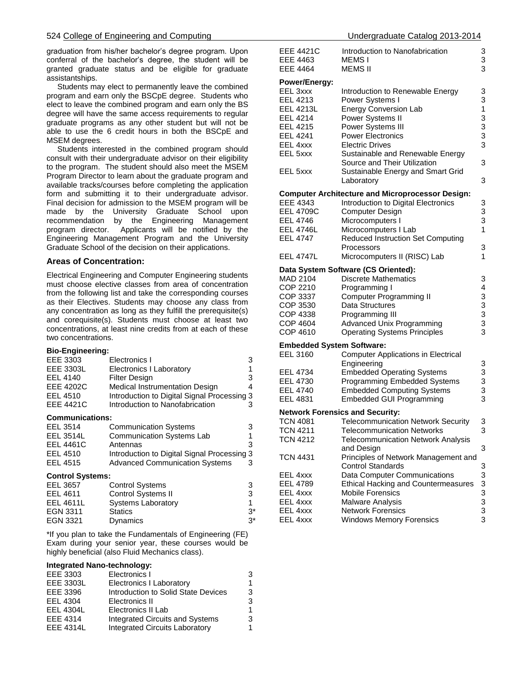graduation from his/her bachelor's degree program. Upon conferral of the bachelor's degree, the student will be granted graduate status and be eligible for graduate assistantships.

 Students may elect to permanently leave the combined program and earn only the BSCpE degree. Students who elect to leave the combined program and earn only the BS degree will have the same access requirements to regular graduate programs as any other student but will not be able to use the 6 credit hours in both the BSCpE and MSEM degrees.

 Students interested in the combined program should consult with their undergraduate advisor on their eligibility to the program. The student should also meet the MSEM Program Director to learn about the graduate program and available tracks/courses before completing the application form and submitting it to their undergraduate advisor. Final decision for admission to the MSEM program will be made by the University Graduate School upon recommendation by the Engineering Management program director. Applicants will be notified by the Engineering Management Program and the University Graduate School of the decision on their applications.

#### **Areas of Concentration:**

Electrical Engineering and Computer Engineering students must choose elective classes from area of concentration from the following list and take the corresponding courses as their Electives. Students may choose any class from any concentration as long as they fulfill the prerequisite(s) and corequisite(s). Students must choose at least two concentrations, at least nine credits from at each of these two concentrations.

#### **Bio-Engineering:**

| EEE 3303                | Electronics I                               | 3     |
|-------------------------|---------------------------------------------|-------|
| EEE 3303L               | <b>Electronics I Laboratory</b>             |       |
| EEL 4140                | <b>Filter Design</b>                        | 3     |
| <b>EEE 4202C</b>        | Medical Instrumentation Design              | 4     |
| EEL 4510                | Introduction to Digital Signal Processing 3 |       |
| <b>EEE 4421C</b>        | Introduction to Nanofabrication             | З     |
| <b>Communications:</b>  |                                             |       |
| EEL 3514                | <b>Communication Systems</b>                | 3     |
| <b>EEL 3514L</b>        | <b>Communication Systems Lab</b>            |       |
| <b>EEL 4461C</b>        | Antennas                                    | 3     |
| EEL 4510                | Introduction to Digital Signal Processing 3 |       |
| EEL 4515                | <b>Advanced Communication Systems</b>       | 3     |
| <b>Control Systems:</b> |                                             |       |
| EEL 3657                | <b>Control Systems</b>                      | 3     |
| EEL 4611                | <b>Control Systems II</b>                   | 3     |
| <b>EEL 4611L</b>        | <b>Systems Laboratory</b>                   | 1     |
| EGN 3311                | <b>Statics</b>                              | $3^*$ |
| <b>EGN 3321</b>         | Dynamics                                    | $3^*$ |

\*If you plan to take the Fundamentals of Engineering (FE) Exam during your senior year, these courses would be highly beneficial (also Fluid Mechanics class).

#### **Integrated Nano-technology:**

| EEE 3303         | Electronics I                         | 3 |
|------------------|---------------------------------------|---|
| <b>EEE 3303L</b> | <b>Electronics I Laboratory</b>       | 1 |
| EEE 3396         | Introduction to Solid State Devices   | 3 |
| EEL 4304         | Electronics II                        | 3 |
| <b>EEL 4304L</b> | Electronics II Lab                    | 1 |
| EEE 4314         | Integrated Circuits and Systems       | 3 |
| <b>EEE 4314L</b> | <b>Integrated Circuits Laboratory</b> | 1 |

| EEE 4421C<br>EEE 4463            | Introduction to Nanofabrication<br>MEMS I               | 3<br>3       |
|----------------------------------|---------------------------------------------------------|--------------|
| EEE 4464                         | MEMS II                                                 | 3            |
| Power/Energy:                    |                                                         |              |
| EEL 3xxx                         | Introduction to Renewable Energy                        | 3            |
| EEL 4213                         | Power Systems I                                         | 3            |
| EEL 4213L                        | <b>Energy Conversion Lab</b>                            | $\mathbf{1}$ |
| EEL 4214                         | Power Systems II                                        | 3            |
| <b>EEL 4215</b>                  | Power Systems III                                       | 3            |
| EEL 4241                         | <b>Power Electronics</b>                                | 3            |
| EEL 4xxx                         | <b>Electric Drives</b>                                  | 3            |
|                                  |                                                         |              |
| EEL 5xxx                         | Sustainable and Renewable Energy                        |              |
|                                  | Source and Their Utilization                            | 3            |
| EEL 5xxx                         | Sustainable Energy and Smart Grid                       |              |
|                                  | Laboratory                                              | 3            |
|                                  | <b>Computer Architecture and Microprocessor Design:</b> |              |
| EEE 4343                         | Introduction to Digital Electronics                     | 3            |
| <b>EEL 4709C</b>                 | Computer Design                                         | 3            |
| <b>EEL 4746</b>                  | Microcomputers I                                        | 3            |
| <b>EEL 4746L</b>                 | Microcomputers I Lab                                    | 1            |
| <b>EEL 4747</b>                  | <b>Reduced Instruction Set Computing</b>                |              |
|                                  | Processors                                              | 3            |
| <b>EEL 4747L</b>                 | Microcomputers II (RISC) Lab                            | 1            |
|                                  |                                                         |              |
|                                  | Data System Software (CS Oriented):                     |              |
| MAD 2104                         | <b>Discrete Mathematics</b>                             | 3            |
| COP 2210                         | Programming I                                           | 4            |
| COP 3337                         | <b>Computer Programming II</b>                          | 3            |
| COP 3530                         | Data Structures                                         | 3            |
| COP 4338                         | Programming III                                         | 3            |
| COP 4604                         | <b>Advanced Unix Programming</b>                        | 3            |
| COP 4610                         | <b>Operating Systems Principles</b>                     | 3            |
| <b>Embedded System Software:</b> |                                                         |              |
| <b>EEL 3160</b>                  | <b>Computer Applications in Electrical</b>              |              |
|                                  | Engineering                                             | 3            |
| EEL 4734                         | <b>Embedded Operating Systems</b>                       | 3            |
| EEL 4730                         | <b>Programming Embedded Systems</b>                     | 3            |
| <b>EEL 4740</b>                  | <b>Embedded Computing Systems</b>                       | 3            |
| EEL 4831                         | <b>Embedded GUI Programming</b>                         | 3            |
|                                  |                                                         |              |
|                                  | <b>Network Forensics and Security:</b>                  |              |
| TCN 4081                         | <b>Telecommunication Network Security</b>               | 3            |
| <b>ICN 4211</b>                  | <b>I</b> elecommunication Networks                      | З            |
| <b>TCN 4212</b>                  | <b>Telecommunication Network Analysis</b>               |              |
|                                  | and Design                                              | 3            |
| TCN 4431                         | Principles of Network Management and                    |              |
|                                  | <b>Control Standards</b>                                | 3            |
| EEL 4xxx                         | Data Computer Communications                            | 3            |
| EEL 4789                         | <b>Ethical Hacking and Countermeasures</b>              | 3            |
| EEL 4xxx                         | <b>Mobile Forensics</b>                                 | 3            |
| EEL 4xxx                         | Malware Analysis                                        | 3            |
| EEL 4xxx                         | <b>Network Forensics</b>                                | 3            |
|                                  |                                                         | 3            |
| EEL 4xxx                         | <b>Windows Memory Forensics</b>                         |              |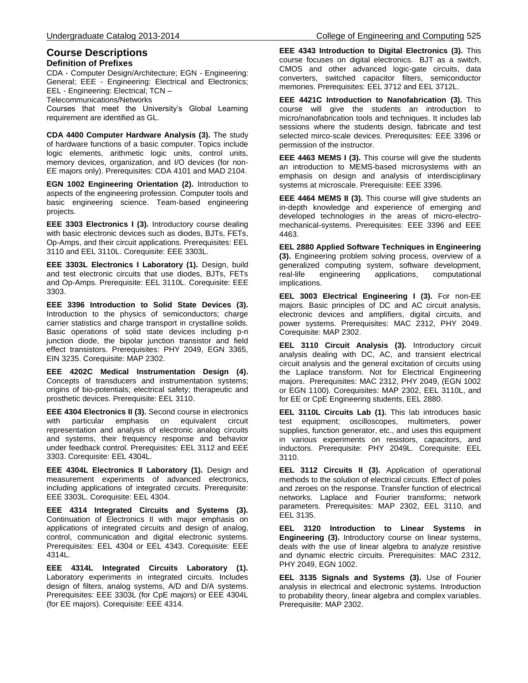### **Course Descriptions Definition of Prefixes**

CDA - Computer Design/Architecture; EGN - Engineering: General; EEE - Engineering: Electrical and Electronics; EEL - Engineering: Electrical; TCN –

Telecommunications/Networks

Courses that meet the University's Global Learning requirement are identified as GL.

**CDA 4400 Computer Hardware Analysis (3).** The study of hardware functions of a basic computer. Topics include logic elements, arithmetic logic units, control units, memory devices, organization, and I/O devices (for non-EE majors only). Prerequisites: CDA 4101 and MAD 2104.

**EGN 1002 Engineering Orientation (2).** Introduction to aspects of the engineering profession. Computer tools and basic engineering science. Team-based engineering projects.

**EEE 3303 Electronics I (3).** Introductory course dealing with basic electronic devices such as diodes, BJTs, FETs, Op-Amps, and their circuit applications. Prerequisites: EEL 3110 and EEL 3110L. Corequisite: EEE 3303L.

**EEE 3303L Electronics I Laboratory (1).** Design, build and test electronic circuits that use diodes, BJTs, FETs and Op-Amps. Prerequisite: EEL 3110L. Corequisite: EEE 3303.

**EEE 3396 Introduction to Solid State Devices (3).** Introduction to the physics of semiconductors; charge carrier statistics and charge transport in crystalline solids. Basic operations of solid state devices including p-n junction diode, the bipolar junction transistor and field effect transistors. Prerequisites: PHY 2049, EGN 3365, EIN 3235. Corequisite: MAP 2302.

**EEE 4202C Medical Instrumentation Design (4).** Concepts of transducers and instrumentation systems; origins of bio-potentials; electrical safety; therapeutic and prosthetic devices. Prerequisite: EEL 3110.

**EEE 4304 Electronics II (3).** Second course in electronics with particular emphasis on equivalent circuit representation and analysis of electronic analog circuits and systems, their frequency response and behavior under feedback control. Prerequisites: EEL 3112 and EEE 3303. Corequisite: EEL 4304L.

**EEE 4304L Electronics II Laboratory (1).** Design and measurement experiments of advanced electronics, including applications of integrated circuits. Prerequisite: EEE 3303L. Corequisite: EEL 4304.

**EEE 4314 Integrated Circuits and Systems (3).** Continuation of Electronics II with major emphasis on applications of integrated circuits and design of analog. control, communication and digital electronic systems. Prerequisites: EEL 4304 or EEL 4343. Corequisite: EEE 4314L.

**EEE 4314L Integrated Circuits Laboratory (1).** Laboratory experiments in integrated circuits. Includes design of filters, analog systems, A/D and D/A systems. Prerequisites: EEE 3303L (for CpE majors) or EEE 4304L (for EE majors). Corequisite: EEE 4314.

**EEE 4343 Introduction to Digital Electronics (3).** This course focuses on digital electronics. BJT as a switch, CMOS and other advanced logic-gate circuits, data converters, switched capacitor filters, semiconductor memories. Prerequisites: EEL 3712 and EEL 3712L.

**EEE 4421C Introduction to Nanofabrication (3).** This course will give the students an introduction to micro/nanofabrication tools and techniques. It includes lab sessions where the students design, fabricate and test selected mirco-scale devices. Prerequisites: EEE 3396 or permission of the instructor.

**EEE 4463 MEMS I (3).** This course will give the students an introduction to MEMS-based microsystems with an emphasis on design and analysis of interdisciplinary systems at microscale. Prerequisite: EEE 3396.

**EEE 4464 MEMS II (3).** This course will give students an in-depth knowledge and experience of emerging and developed technologies in the areas of micro-electromechanical-systems. Prerequisites: EEE 3396 and EEE 4463.

**EEL 2880 Applied Software Techniques in Engineering (3).** Engineering problem solving process, overview of a generalized computing system, software development, real-life engineering applications, computational implications.

**EEL 3003 Electrical Engineering I (3).** For non-EE majors. Basic principles of DC and AC circuit analysis, electronic devices and amplifiers, digital circuits, and power systems. Prerequisites: MAC 2312, PHY 2049. Corequisite: MAP 2302.

**EEL 3110 Circuit Analysis (3).** Introductory circuit analysis dealing with DC, AC, and transient electrical circuit analysis and the general excitation of circuits using the Laplace transform. Not for Electrical Engineering majors. Prerequisites: MAC 2312, PHY 2049, (EGN 1002 or EGN 1100). Corequisites: MAP 2302, EEL 3110L, and for EE or CpE Engineering students, EEL 2880.

**EEL 3110L Circuits Lab (1).** This lab introduces basic test equipment; oscilloscopes, multimeters, power supplies, function generator, etc., and uses this equipment in various experiments on resistors, capacitors, and inductors. Prerequisite: PHY 2049L. Corequisite: EEL 3110.

**EEL 3112 Circuits II (3).** Application of operational methods to the solution of electrical circuits. Effect of poles and zeroes on the response. Transfer function of electrical networks. Laplace and Fourier transforms; network parameters. Prerequisites: MAP 2302, EEL 3110, and EEL 3135.

**EEL 3120 Introduction to Linear Systems in Engineering (3).** Introductory course on linear systems, deals with the use of linear algebra to analyze resistive and dynamic electric circuits. Prerequisites: MAC 2312, PHY 2049, EGN 1002.

**EEL 3135 Signals and Systems (3).** Use of Fourier analysis in electrical and electronic systems. Introduction to probability theory, linear algebra and complex variables. Prerequisite: MAP 2302.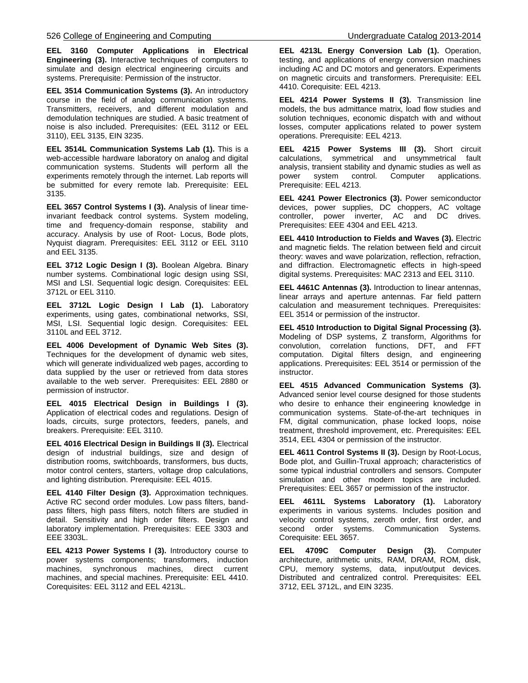**EEL 3160 Computer Applications in Electrical Engineering (3).** Interactive techniques of computers to simulate and design electrical engineering circuits and systems. Prerequisite: Permission of the instructor.

**EEL 3514 Communication Systems (3).** An introductory course in the field of analog communication systems. Transmitters, receivers, and different modulation and demodulation techniques are studied. A basic treatment of noise is also included. Prerequisites: (EEL 3112 or EEL 3110), EEL 3135, EIN 3235.

**EEL 3514L Communication Systems Lab (1).** This is a web-accessible hardware laboratory on analog and digital communication systems. Students will perform all the experiments remotely through the internet. Lab reports will be submitted for every remote lab. Prerequisite: EEL 3135.

**EEL 3657 Control Systems I (3).** Analysis of linear timeinvariant feedback control systems. System modeling, time and frequency-domain response, stability and accuracy. Analysis by use of Root- Locus, Bode plots, Nyquist diagram. Prerequisites: EEL 3112 or EEL 3110 and EEL 3135.

**EEL 3712 Logic Design I (3).** Boolean Algebra. Binary number systems. Combinational logic design using SSI, MSI and LSI. Sequential logic design. Corequisites: EEL 3712L or EEL 3110.

**EEL 3712L Logic Design I Lab (1).** Laboratory experiments, using gates, combinational networks, SSI, MSI, LSI. Sequential logic design. Corequisites: EEL 3110L and EEL 3712.

**EEL 4006 Development of Dynamic Web Sites (3).**  Techniques for the development of dynamic web sites, which will generate individualized web pages, according to data supplied by the user or retrieved from data stores available to the web server. Prerequisites: EEL 2880 or permission of instructor.

**EEL 4015 Electrical Design in Buildings I (3).** Application of electrical codes and regulations. Design of loads, circuits, surge protectors, feeders, panels, and breakers. Prerequisite: EEL 3110.

**EEL 4016 Electrical Design in Buildings II (3).** Electrical design of industrial buildings, size and design of distribution rooms, switchboards, transformers, bus ducts, motor control centers, starters, voltage drop calculations, and lighting distribution. Prerequisite: EEL 4015.

**EEL 4140 Filter Design (3).** Approximation techniques. Active RC second order modules. Low pass filters, bandpass filters, high pass filters, notch filters are studied in detail. Sensitivity and high order filters. Design and laboratory implementation. Prerequisites: EEE 3303 and EEE 3303L.

**EEL 4213 Power Systems I (3).** Introductory course to power systems components; transformers, induction machines, synchronous machines, direct current machines, and special machines. Prerequisite: EEL 4410. Corequisites: EEL 3112 and EEL 4213L.

**EEL 4213L Energy Conversion Lab (1).** Operation, testing, and applications of energy conversion machines including AC and DC motors and generators. Experiments on magnetic circuits and transformers. Prerequisite: EEL 4410. Corequisite: EEL 4213.

**EEL 4214 Power Systems II (3).** Transmission line models, the bus admittance matrix, load flow studies and solution techniques, economic dispatch with and without losses, computer applications related to power system operations. Prerequisite: EEL 4213.

**EEL 4215 Power Systems III (3).** Short circuit calculations, symmetrical and unsymmetrical fault analysis, transient stability and dynamic studies as well as power system control. Computer applications. Prerequisite: EEL 4213.

**EEL 4241 Power Electronics (3).** Power semiconductor devices, power supplies, DC choppers, AC voltage controller, power inverter, AC and DC drives. Prerequisites: EEE 4304 and EEL 4213.

**EEL 4410 Introduction to Fields and Waves (3).** Electric and magnetic fields. The relation between field and circuit theory: waves and wave polarization, reflection, refraction, and diffraction. Electromagnetic effects in high-speed digital systems. Prerequisites: MAC 2313 and EEL 3110.

**EEL 4461C Antennas (3).** Introduction to linear antennas, linear arrays and aperture antennas. Far field pattern calculation and measurement techniques. Prerequisites: EEL 3514 or permission of the instructor.

**EEL 4510 Introduction to Digital Signal Processing (3).** Modeling of DSP systems, Z transform, Algorithms for convolution, correlation functions, DFT, and FFT computation. Digital filters design, and engineering applications. Prerequisites: EEL 3514 or permission of the instructor.

**EEL 4515 Advanced Communication Systems (3).**  Advanced senior level course designed for those students who desire to enhance their engineering knowledge in communication systems. State-of-the-art techniques in FM, digital communication, phase locked loops, noise treatment, threshold improvement, etc. Prerequisites: EEL 3514, EEL 4304 or permission of the instructor.

**EEL 4611 Control Systems II (3).** Design by Root-Locus, Bode plot, and Guillin-Truxal approach; characteristics of some typical industrial controllers and sensors. Computer simulation and other modern topics are included. Prerequisites: EEL 3657 or permission of the instructor.

**EEL 4611L Systems Laboratory (1).** Laboratory experiments in various systems. Includes position and velocity control systems, zeroth order, first order, and second order systems. Communication Systems. Corequisite: EEL 3657.

**EEL 4709C Computer Design (3).** Computer architecture, arithmetic units, RAM, DRAM, ROM, disk, CPU, memory systems, data, input/output devices. Distributed and centralized control. Prerequisites: EEL 3712, EEL 3712L, and EIN 3235.